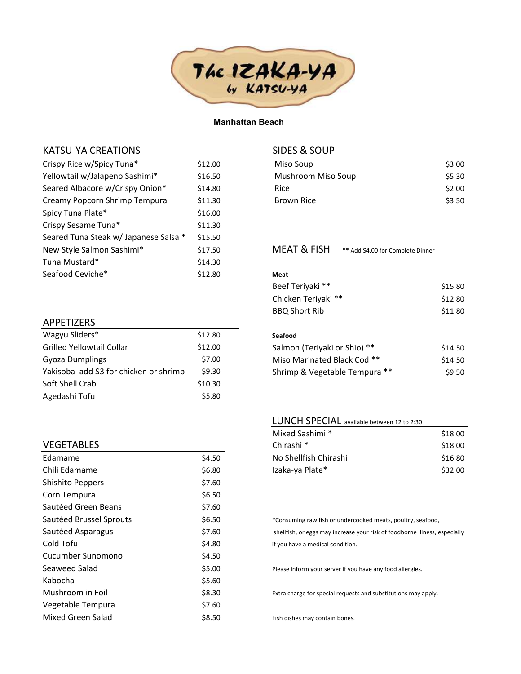

### Manhattan Beach

## KATSU-YA CREATIONS

| Crispy Rice w/Spicy Tuna*             | \$12.00 |
|---------------------------------------|---------|
| Yellowtail w/Jalapeno Sashimi*        | \$16.50 |
| Seared Albacore w/Crispy Onion*       | \$14.80 |
| Creamy Popcorn Shrimp Tempura         | \$11.30 |
| Spicy Tuna Plate*                     | \$16.00 |
| Crispy Sesame Tuna*                   | \$11.30 |
| Seared Tuna Steak w/ Japanese Salsa * | \$15.50 |
| New Style Salmon Sashimi*             | \$17.50 |
| Tuna Mustard*                         | \$14.30 |
| Seafood Ceviche*                      | \$12.80 |

# SIDES & SOUP

| \$3.00 |
|--------|
| \$5.30 |
| \$2.00 |
| \$3.50 |
|        |

### MEAT & FISH \*\* Add \$4.00 for Complete Dinner

| Meat                           |         |
|--------------------------------|---------|
| Beef Teriyaki **               | \$15.80 |
| Chicken Teriyaki **            | \$12.80 |
| <b>BBQ Short Rib</b>           | \$11.80 |
|                                |         |
| Seafood                        |         |
| Salmon (Teriyaki or Shio) **   | \$14.50 |
| **<br>Miso Marinated Black Cod | \$14.50 |
| Shrimp & Vegetable Tempura     | \$9.50  |

#### LUNCH SPECIAL available between 12 to 2:30

| Mixed Sashimi *       | \$18.00 |
|-----------------------|---------|
| Chirashi <sup>*</sup> | \$18.00 |
| No Shellfish Chirashi | \$16.80 |
| Izaka-ya Plate*       | \$32.00 |

## \*Consuming raw fish or undercooked meats, poultry, seafood, shellfish, or eggs may increase your risk of foodborne illness, especially if you have a medical condition.

Please inform your server if you have any food allergies.

Extra charge for special requests and substitutions may apply.

Fish dishes may contain bones.

# APPETIZERS

| Wagyu Sliders*                         | \$12.80 |
|----------------------------------------|---------|
| Grilled Yellowtail Collar              | \$12.00 |
| <b>Gyoza Dumplings</b>                 | \$7.00  |
| Yakisoba add \$3 for chicken or shrimp | \$9.30  |
| Soft Shell Crab                        | \$10.30 |
| Agedashi Tofu                          | \$5.80  |

## VEGETABLES

| Fdamame                 | \$4.50 |
|-------------------------|--------|
| Chili Edamame           | \$6.80 |
| Shishito Peppers        | \$7.60 |
| Corn Tempura            | \$6.50 |
| Sautéed Green Beans     | \$7.60 |
| Sautéed Brussel Sprouts | \$6.50 |
| Sautéed Asparagus       | \$7.60 |
| Cold Tofu               | \$4.80 |
| Cucumber Sunomono       | \$4.50 |
| Seaweed Salad           | \$5.00 |
| Kabocha                 | \$5.60 |
| Mushroom in Foil        | \$8.30 |
| Vegetable Tempura       | \$7.60 |
| Mixed Green Salad       | \$8.50 |